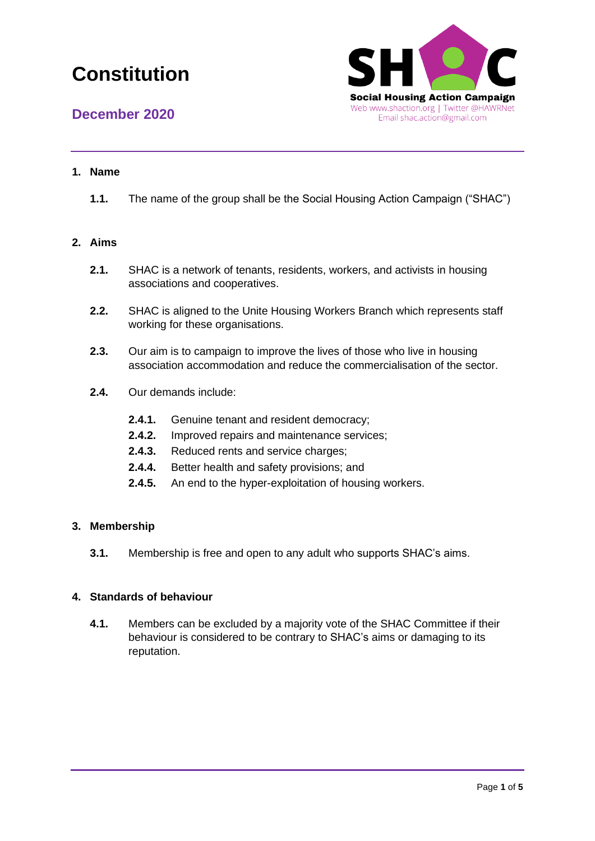

## **1. Name**

**1.1.** The name of the group shall be the Social Housing Action Campaign ("SHAC")

### **2. Aims**

- **2.1.** SHAC is a network of tenants, residents, workers, and activists in housing associations and cooperatives.
- **2.2.** SHAC is aligned to the Unite Housing Workers Branch which represents staff working for these organisations.
- **2.3.** Our aim is to campaign to improve the lives of those who live in housing association accommodation and reduce the commercialisation of the sector.
- **2.4.** Our demands include:
	- **2.4.1.** Genuine tenant and resident democracy;
	- **2.4.2.** Improved repairs and maintenance services;
	- **2.4.3.** Reduced rents and service charges;
	- **2.4.4.** Better health and safety provisions; and
	- **2.4.5.** An end to the hyper-exploitation of housing workers.

### **3. Membership**

**3.1.** Membership is free and open to any adult who supports SHAC's aims.

## **4. Standards of behaviour**

**4.1.** Members can be excluded by a majority vote of the SHAC Committee if their behaviour is considered to be contrary to SHAC's aims or damaging to its reputation.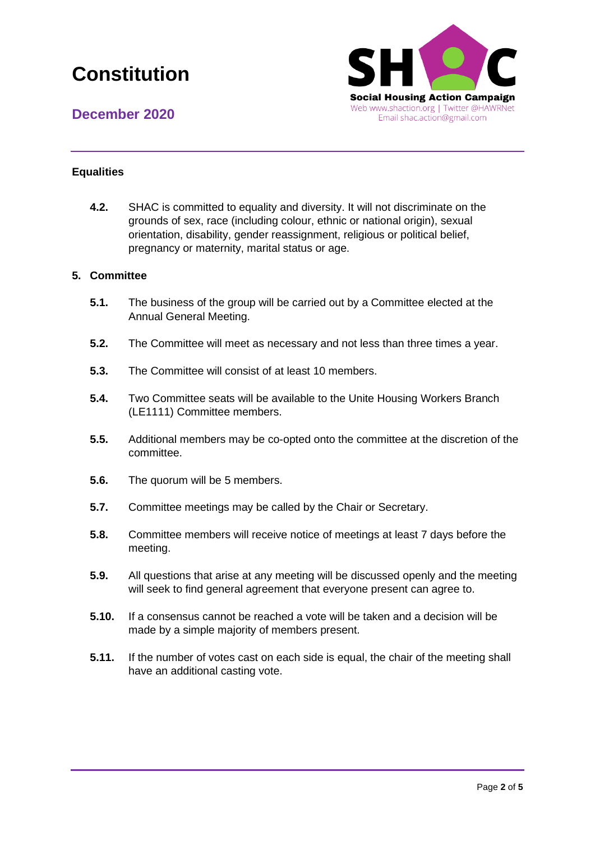



### **Equalities**

**4.2.** SHAC is committed to equality and diversity. It will not discriminate on the grounds of sex, race (including colour, ethnic or national origin), sexual orientation, disability, gender reassignment, religious or political belief, pregnancy or maternity, marital status or age.

#### **5. Committee**

- **5.1.** The business of the group will be carried out by a Committee elected at the Annual General Meeting.
- **5.2.** The Committee will meet as necessary and not less than three times a year.
- **5.3.** The Committee will consist of at least 10 members.
- **5.4.** Two Committee seats will be available to the Unite Housing Workers Branch (LE1111) Committee members.
- **5.5.** Additional members may be co-opted onto the committee at the discretion of the committee.
- **5.6.** The quorum will be 5 members.
- **5.7.** Committee meetings may be called by the Chair or Secretary.
- **5.8.** Committee members will receive notice of meetings at least 7 days before the meeting.
- **5.9.** All questions that arise at any meeting will be discussed openly and the meeting will seek to find general agreement that everyone present can agree to.
- **5.10.** If a consensus cannot be reached a vote will be taken and a decision will be made by a simple majority of members present.
- **5.11.** If the number of votes cast on each side is equal, the chair of the meeting shall have an additional casting vote.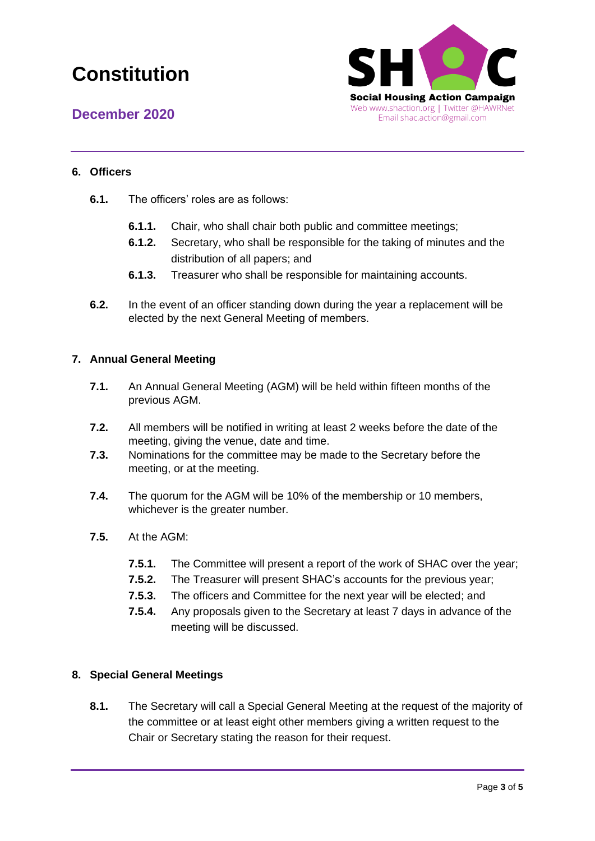

**December 2020**

## **6. Officers**

- **6.1.** The officers' roles are as follows:
	- **6.1.1.** Chair, who shall chair both public and committee meetings;
	- **6.1.2.** Secretary, who shall be responsible for the taking of minutes and the distribution of all papers; and
	- **6.1.3.** Treasurer who shall be responsible for maintaining accounts.
- **6.2.** In the event of an officer standing down during the year a replacement will be elected by the next General Meeting of members.

### **7. Annual General Meeting**

- **7.1.** An Annual General Meeting (AGM) will be held within fifteen months of the previous AGM.
- **7.2.** All members will be notified in writing at least 2 weeks before the date of the meeting, giving the venue, date and time.
- **7.3.** Nominations for the committee may be made to the Secretary before the meeting, or at the meeting.
- **7.4.** The quorum for the AGM will be 10% of the membership or 10 members, whichever is the greater number.
- **7.5.** At the AGM:
	- **7.5.1.** The Committee will present a report of the work of SHAC over the year;
	- **7.5.2.** The Treasurer will present SHAC's accounts for the previous year;
	- **7.5.3.** The officers and Committee for the next year will be elected; and
	- **7.5.4.** Any proposals given to the Secretary at least 7 days in advance of the meeting will be discussed.

### **8. Special General Meetings**

**8.1.** The Secretary will call a Special General Meeting at the request of the majority of the committee or at least eight other members giving a written request to the Chair or Secretary stating the reason for their request.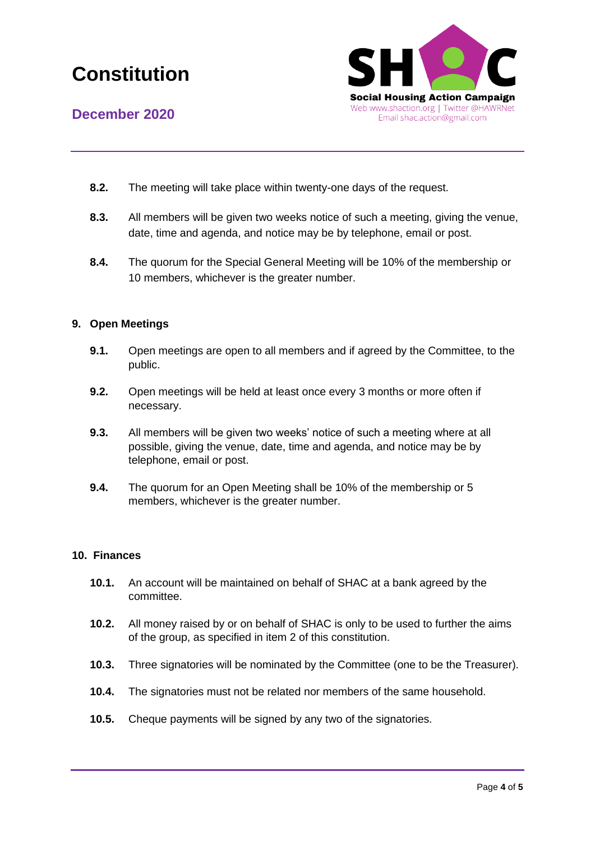



- **8.2.** The meeting will take place within twenty-one days of the request.
- **8.3.** All members will be given two weeks notice of such a meeting, giving the venue, date, time and agenda, and notice may be by telephone, email or post.
- **8.4.** The quorum for the Special General Meeting will be 10% of the membership or 10 members, whichever is the greater number.

### **9. Open Meetings**

- **9.1.** Open meetings are open to all members and if agreed by the Committee, to the public.
- **9.2.** Open meetings will be held at least once every 3 months or more often if necessary.
- **9.3.** All members will be given two weeks' notice of such a meeting where at all possible, giving the venue, date, time and agenda, and notice may be by telephone, email or post.
- **9.4.** The quorum for an Open Meeting shall be 10% of the membership or 5 members, whichever is the greater number.

#### **10. Finances**

- **10.1.** An account will be maintained on behalf of SHAC at a bank agreed by the committee.
- **10.2.** All money raised by or on behalf of SHAC is only to be used to further the aims of the group, as specified in item 2 of this constitution.
- **10.3.** Three signatories will be nominated by the Committee (one to be the Treasurer).
- **10.4.** The signatories must not be related nor members of the same household.
- **10.5.** Cheque payments will be signed by any two of the signatories.